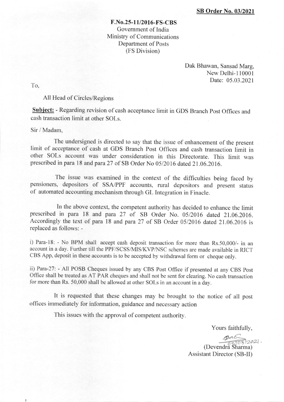## F.No.25-1 1/2016-FS-CBS Government of India Ministry of Communications Department of Posts (FS Division)

Dak Bhawan, Sansad Marg, New Delhi-l10001 Date: 05.03.2021

To,

ş

## All Head of Circles/Regions

Subject: - Regarding revision of cash acceptance limit in GDS Branch Post Offices and cash transaction limit at other SOLs.

## Sir / Madam,

The undersigned is directed to say that the issue of enhancement of the present limit of acceptance of cash at GDS Branch Post offices and cash transaction limit in other SoLs account was under consideration in this Directorate. This limit was prescribed in para 18 and para 27 of SB Order No 05/2016 dated 21.06.2016.

The issue was examined in the context of the difficulties being faced by pensioners, depositors of SSA/PPF accounts, rural depositors and present status of automated accounting mechanism through GL Integration in Finacle.

In the above context, the competent authority has decided to eniance the limit prescribed in para 18 and para 27 of SB Order No. 05/2016 dated 21.06.2016. Accordingly the text of para 18 and para 27 of SB order 05/2016 dated 21.06.2016 is replaced as follows: -

i) Para-18: - No BPM shall accept cash deposit transaction for more than  $Rs.50,000/$ - in an account in a day. Further till the PPF/SCSS/MIS/KVP/NSC schemes are made available in RICT CBS App, deposit in these accounts is to be accepted by withdrawal form or cheque only.

ii) Para-27: - All POSB Cheques issued by any CBS Post Office if presented at any CBS Post Office shall be treated as AT PAR cheques and shall not be sent for clearing. No cash transaction for more than Rs. 50,000 shall be allowed at other SOLs in an account in a dav.

It is requested that these changes may be brought to the notice of all post offices immediately for information, guidance and necessary action

This issues with the approval of competent authority.

Yours faithfully,<br> $PAC$ <sub>1202</sub>,  $(Devendra^2)$  $harma)$ 

Assistant Director (SB-II)